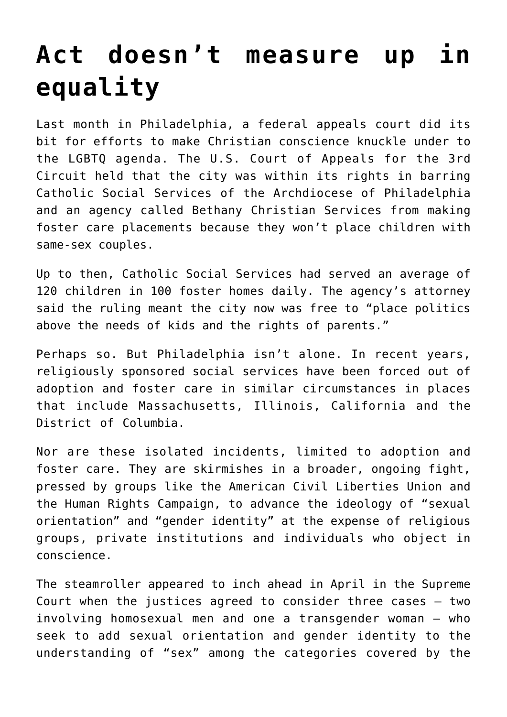## **[Act doesn't measure up in](https://www.osvnews.com/2019/05/21/act-doesnt-measure-up-in-equality/) [equality](https://www.osvnews.com/2019/05/21/act-doesnt-measure-up-in-equality/)**

Last month in Philadelphia, a federal appeals court did its bit for efforts to make Christian conscience knuckle under to the LGBTQ agenda. The U.S. Court of Appeals for the 3rd Circuit held that the city was within its rights in barring Catholic Social Services of the Archdiocese of Philadelphia and an agency called Bethany Christian Services from making foster care placements because they won't place children with same-sex couples.

Up to then, Catholic Social Services had served an average of 120 children in 100 foster homes daily. The agency's attorney said the ruling meant the city now was free to "place politics above the needs of kids and the rights of parents."

Perhaps so. But Philadelphia isn't alone. In recent years, religiously sponsored social services have been forced out of adoption and foster care in similar circumstances in places that include Massachusetts, Illinois, California and the District of Columbia.

Nor are these isolated incidents, limited to adoption and foster care. They are skirmishes in a broader, ongoing fight, pressed by groups like the American Civil Liberties Union and the Human Rights Campaign, to advance the ideology of "sexual orientation" and "gender identity" at the expense of religious groups, private institutions and individuals who object in conscience.

The steamroller appeared to inch ahead in April in the Supreme Court when the justices agreed to consider three cases — two involving homosexual men and one a transgender woman — who seek to add sexual orientation and gender identity to the understanding of "sex" among the categories covered by the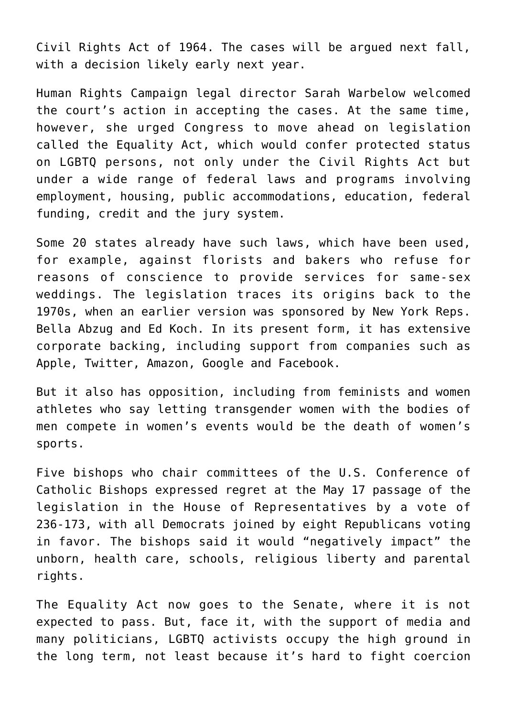Civil Rights Act of 1964. The cases will be argued next fall, with a decision likely early next year.

Human Rights Campaign legal director Sarah Warbelow welcomed the court's action in accepting the cases. At the same time, however, she urged Congress to move ahead on legislation called the Equality Act, which would confer protected status on LGBTQ persons, not only under the Civil Rights Act but under a wide range of federal laws and programs involving employment, housing, public accommodations, education, federal funding, credit and the jury system.

Some 20 states already have such laws, which have been used, for example, against florists and bakers who refuse for reasons of conscience to provide services for same-sex weddings. The legislation traces its origins back to the 1970s, when an earlier version was sponsored by New York Reps. Bella Abzug and Ed Koch. In its present form, it has extensive corporate backing, including support from companies such as Apple, Twitter, Amazon, Google and Facebook.

But it also has opposition, including from feminists and women athletes who say letting transgender women with the bodies of men compete in women's events would be the death of women's sports.

Five bishops who chair committees of the U.S. Conference of Catholic Bishops expressed regret at the May 17 passage of the legislation in the House of Representatives by a vote of 236-173, with all Democrats joined by eight Republicans voting in favor. The bishops said it would "negatively impact" the unborn, health care, schools, religious liberty and parental rights.

The Equality Act now goes to the Senate, where it is not expected to pass. But, face it, with the support of media and many politicians, LGBTQ activists occupy the high ground in the long term, not least because it's hard to fight coercion